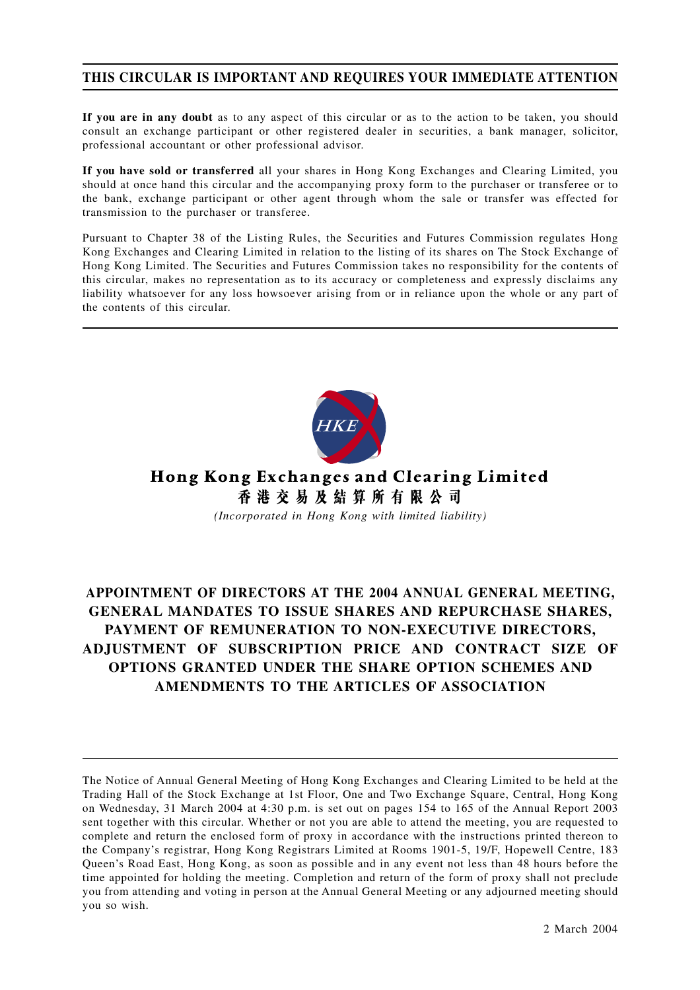# **THIS CIRCULAR IS IMPORTANT AND REQUIRES YOUR IMMEDIATE ATTENTION**

**If you are in any doubt** as to any aspect of this circular or as to the action to be taken, you should consult an exchange participant or other registered dealer in securities, a bank manager, solicitor, professional accountant or other professional advisor.

**If you have sold or transferred** all your shares in Hong Kong Exchanges and Clearing Limited, you should at once hand this circular and the accompanying proxy form to the purchaser or transferee or to the bank, exchange participant or other agent through whom the sale or transfer was effected for transmission to the purchaser or transferee.

Pursuant to Chapter 38 of the Listing Rules, the Securities and Futures Commission regulates Hong Kong Exchanges and Clearing Limited in relation to the listing of its shares on The Stock Exchange of Hong Kong Limited. The Securities and Futures Commission takes no responsibility for the contents of this circular, makes no representation as to its accuracy or completeness and expressly disclaims any liability whatsoever for any loss howsoever arising from or in reliance upon the whole or any part of the contents of this circular.



Hong Kong Exchanges and Clearing Limited 香港交易及結算所有限公司 *(Incorporated in Hong Kong with limited liability)*

# **APPOINTMENT OF DIRECTORS AT THE 2004 ANNUAL GENERAL MEETING, GENERAL MANDATES TO ISSUE SHARES AND REPURCHASE SHARES, PAYMENT OF REMUNERATION TO NON-EXECUTIVE DIRECTORS, ADJUSTMENT OF SUBSCRIPTION PRICE AND CONTRACT SIZE OF OPTIONS GRANTED UNDER THE SHARE OPTION SCHEMES AND AMENDMENTS TO THE ARTICLES OF ASSOCIATION**

The Notice of Annual General Meeting of Hong Kong Exchanges and Clearing Limited to be held at the Trading Hall of the Stock Exchange at 1st Floor, One and Two Exchange Square, Central, Hong Kong on Wednesday, 31 March 2004 at 4:30 p.m. is set out on pages 154 to 165 of the Annual Report 2003 sent together with this circular. Whether or not you are able to attend the meeting, you are requested to complete and return the enclosed form of proxy in accordance with the instructions printed thereon to the Company's registrar, Hong Kong Registrars Limited at Rooms 1901-5, 19/F, Hopewell Centre, 183 Queen's Road East, Hong Kong, as soon as possible and in any event not less than 48 hours before the time appointed for holding the meeting. Completion and return of the form of proxy shall not preclude you from attending and voting in person at the Annual General Meeting or any adjourned meeting should you so wish.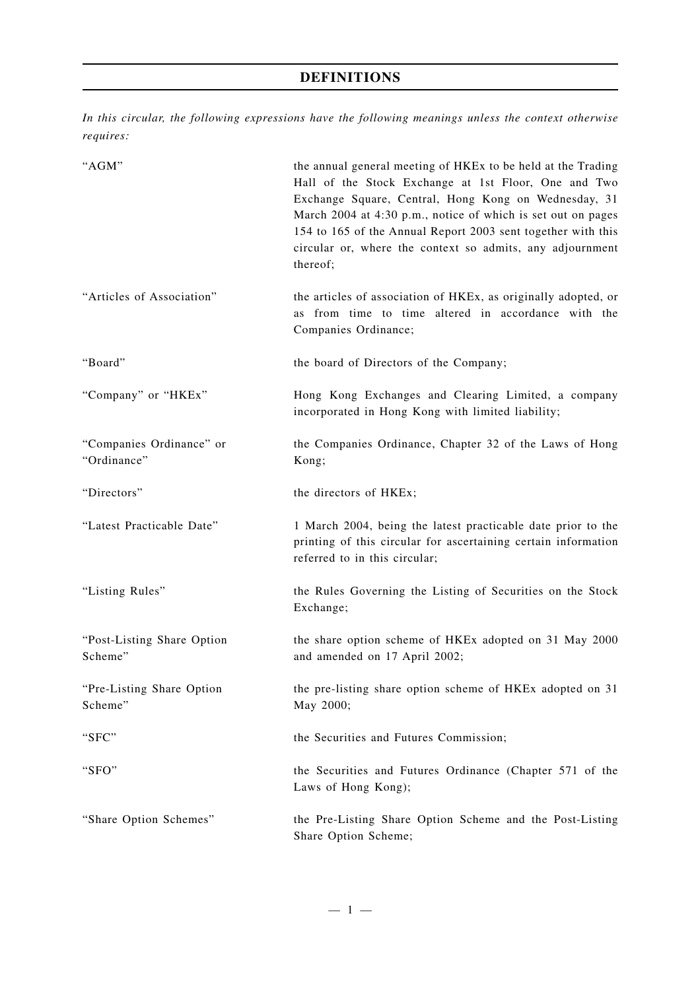# **DEFINITIONS**

*In this circular, the following expressions have the following meanings unless the context otherwise requires:*

| "AGM"                                   | the annual general meeting of HKEx to be held at the Trading<br>Hall of the Stock Exchange at 1st Floor, One and Two<br>Exchange Square, Central, Hong Kong on Wednesday, 31<br>March 2004 at 4:30 p.m., notice of which is set out on pages<br>154 to 165 of the Annual Report 2003 sent together with this<br>circular or, where the context so admits, any adjournment<br>thereof; |
|-----------------------------------------|---------------------------------------------------------------------------------------------------------------------------------------------------------------------------------------------------------------------------------------------------------------------------------------------------------------------------------------------------------------------------------------|
| "Articles of Association"               | the articles of association of HKEx, as originally adopted, or<br>as from time to time altered in accordance with the<br>Companies Ordinance;                                                                                                                                                                                                                                         |
| "Board"                                 | the board of Directors of the Company;                                                                                                                                                                                                                                                                                                                                                |
| "Company" or "HKEx"                     | Hong Kong Exchanges and Clearing Limited, a company<br>incorporated in Hong Kong with limited liability;                                                                                                                                                                                                                                                                              |
| "Companies Ordinance" or<br>"Ordinance" | the Companies Ordinance, Chapter 32 of the Laws of Hong<br>Kong;                                                                                                                                                                                                                                                                                                                      |
| "Directors"                             | the directors of HKEx;                                                                                                                                                                                                                                                                                                                                                                |
| "Latest Practicable Date"               | 1 March 2004, being the latest practicable date prior to the<br>printing of this circular for ascertaining certain information<br>referred to in this circular;                                                                                                                                                                                                                       |
| "Listing Rules"                         | the Rules Governing the Listing of Securities on the Stock<br>Exchange;                                                                                                                                                                                                                                                                                                               |
| "Post-Listing Share Option<br>Scheme"   | the share option scheme of HKEx adopted on 31 May 2000<br>and amended on 17 April 2002;                                                                                                                                                                                                                                                                                               |
| "Pre-Listing Share Option<br>Scheme"    | the pre-listing share option scheme of HKEx adopted on 31<br>May 2000;                                                                                                                                                                                                                                                                                                                |
| "SFC"                                   | the Securities and Futures Commission;                                                                                                                                                                                                                                                                                                                                                |
| "SFO"                                   | the Securities and Futures Ordinance (Chapter 571 of the<br>Laws of Hong Kong);                                                                                                                                                                                                                                                                                                       |
| "Share Option Schemes"                  | the Pre-Listing Share Option Scheme and the Post-Listing<br>Share Option Scheme;                                                                                                                                                                                                                                                                                                      |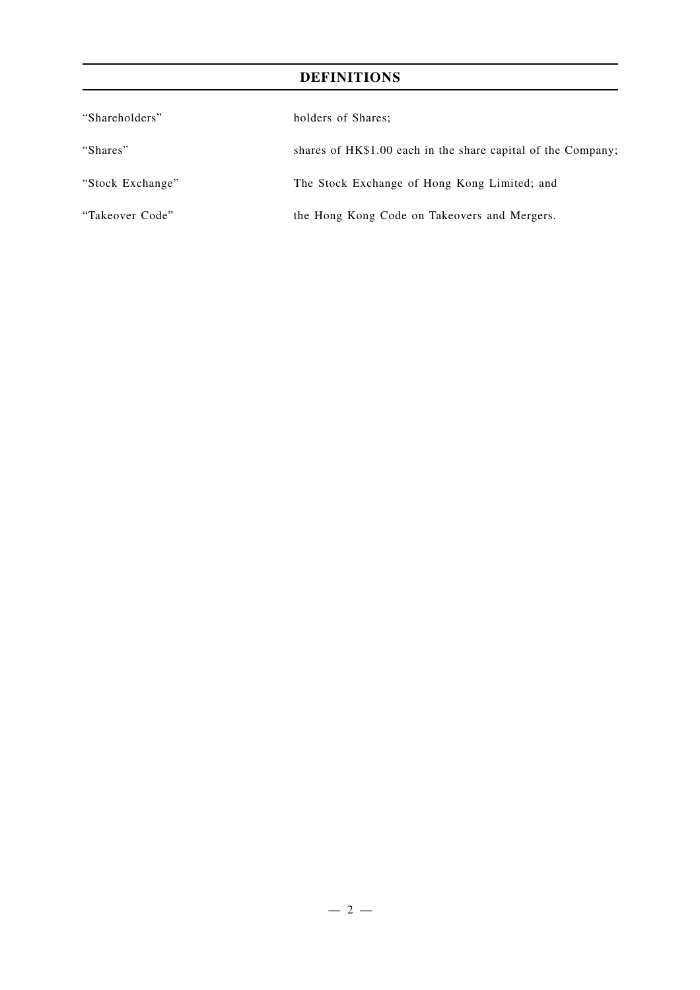# **DEFINITIONS**

| "Shareholders"   | holders of Shares;                                           |
|------------------|--------------------------------------------------------------|
| "Shares"         | shares of HK\$1.00 each in the share capital of the Company; |
| "Stock Exchange" | The Stock Exchange of Hong Kong Limited; and                 |
| "Takeover Code"  | the Hong Kong Code on Takeovers and Mergers.                 |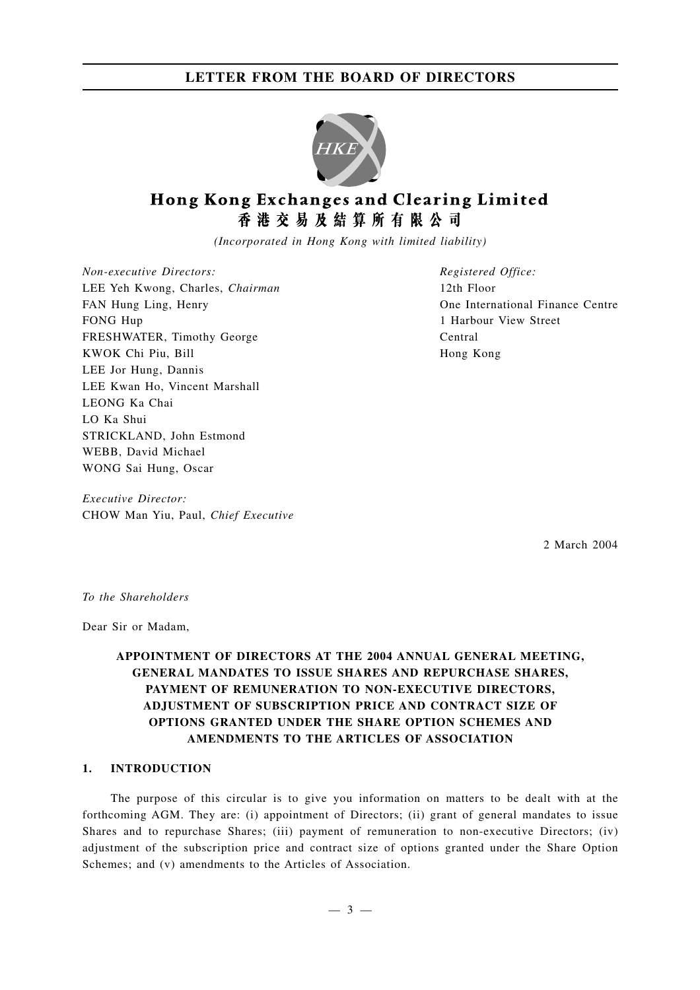

# Hong Kong Exchanges and Clearing Limited 香港交易及結算所有限公司

*(Incorporated in Hong Kong with limited liability)*

*Non-executive Directors:* LEE Yeh Kwong, Charles, *Chairman* FAN Hung Ling, Henry FONG Hup FRESHWATER, Timothy George KWOK Chi Piu, Bill LEE Jor Hung, Dannis LEE Kwan Ho, Vincent Marshall LEONG Ka Chai LO Ka Shui STRICKLAND, John Estmond WEBB, David Michael WONG Sai Hung, Oscar

*Executive Director:* CHOW Man Yiu, Paul, *Chief Executive* *Registered Office:* 12th Floor One International Finance Centre 1 Harbour View Street Central Hong Kong

2 March 2004

*To the Shareholders*

Dear Sir or Madam,

## **APPOINTMENT OF DIRECTORS AT THE 2004 ANNUAL GENERAL MEETING, GENERAL MANDATES TO ISSUE SHARES AND REPURCHASE SHARES, PAYMENT OF REMUNERATION TO NON-EXECUTIVE DIRECTORS, ADJUSTMENT OF SUBSCRIPTION PRICE AND CONTRACT SIZE OF OPTIONS GRANTED UNDER THE SHARE OPTION SCHEMES AND AMENDMENTS TO THE ARTICLES OF ASSOCIATION**

### **1. INTRODUCTION**

The purpose of this circular is to give you information on matters to be dealt with at the forthcoming AGM. They are: (i) appointment of Directors; (ii) grant of general mandates to issue Shares and to repurchase Shares; (iii) payment of remuneration to non-executive Directors; (iv) adjustment of the subscription price and contract size of options granted under the Share Option Schemes; and (v) amendments to the Articles of Association.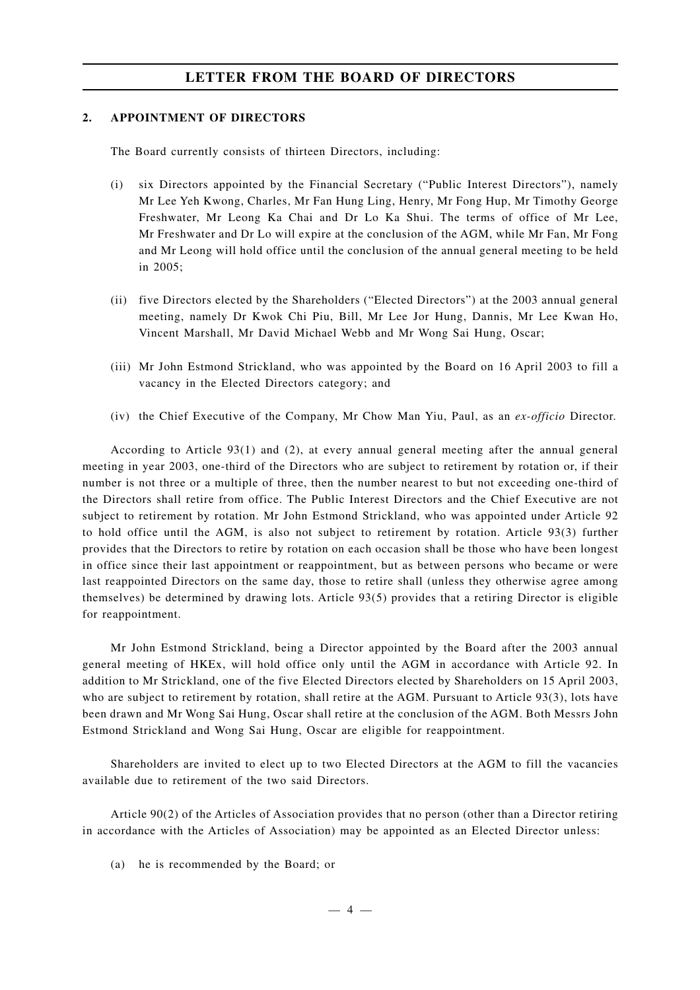### **2. APPOINTMENT OF DIRECTORS**

The Board currently consists of thirteen Directors, including:

- (i) six Directors appointed by the Financial Secretary ("Public Interest Directors"), namely Mr Lee Yeh Kwong, Charles, Mr Fan Hung Ling, Henry, Mr Fong Hup, Mr Timothy George Freshwater, Mr Leong Ka Chai and Dr Lo Ka Shui. The terms of office of Mr Lee, Mr Freshwater and Dr Lo will expire at the conclusion of the AGM, while Mr Fan, Mr Fong and Mr Leong will hold office until the conclusion of the annual general meeting to be held in 2005;
- (ii) five Directors elected by the Shareholders ("Elected Directors") at the 2003 annual general meeting, namely Dr Kwok Chi Piu, Bill, Mr Lee Jor Hung, Dannis, Mr Lee Kwan Ho, Vincent Marshall, Mr David Michael Webb and Mr Wong Sai Hung, Oscar;
- (iii) Mr John Estmond Strickland, who was appointed by the Board on 16 April 2003 to fill a vacancy in the Elected Directors category; and
- (iv) the Chief Executive of the Company, Mr Chow Man Yiu, Paul, as an *ex-officio* Director.

According to Article 93(1) and (2), at every annual general meeting after the annual general meeting in year 2003, one-third of the Directors who are subject to retirement by rotation or, if their number is not three or a multiple of three, then the number nearest to but not exceeding one-third of the Directors shall retire from office. The Public Interest Directors and the Chief Executive are not subject to retirement by rotation. Mr John Estmond Strickland, who was appointed under Article 92 to hold office until the AGM, is also not subject to retirement by rotation. Article 93(3) further provides that the Directors to retire by rotation on each occasion shall be those who have been longest in office since their last appointment or reappointment, but as between persons who became or were last reappointed Directors on the same day, those to retire shall (unless they otherwise agree among themselves) be determined by drawing lots. Article 93(5) provides that a retiring Director is eligible for reappointment.

Mr John Estmond Strickland, being a Director appointed by the Board after the 2003 annual general meeting of HKEx, will hold office only until the AGM in accordance with Article 92. In addition to Mr Strickland, one of the five Elected Directors elected by Shareholders on 15 April 2003, who are subject to retirement by rotation, shall retire at the AGM. Pursuant to Article 93(3), lots have been drawn and Mr Wong Sai Hung, Oscar shall retire at the conclusion of the AGM. Both Messrs John Estmond Strickland and Wong Sai Hung, Oscar are eligible for reappointment.

Shareholders are invited to elect up to two Elected Directors at the AGM to fill the vacancies available due to retirement of the two said Directors.

Article 90(2) of the Articles of Association provides that no person (other than a Director retiring in accordance with the Articles of Association) may be appointed as an Elected Director unless:

(a) he is recommended by the Board; or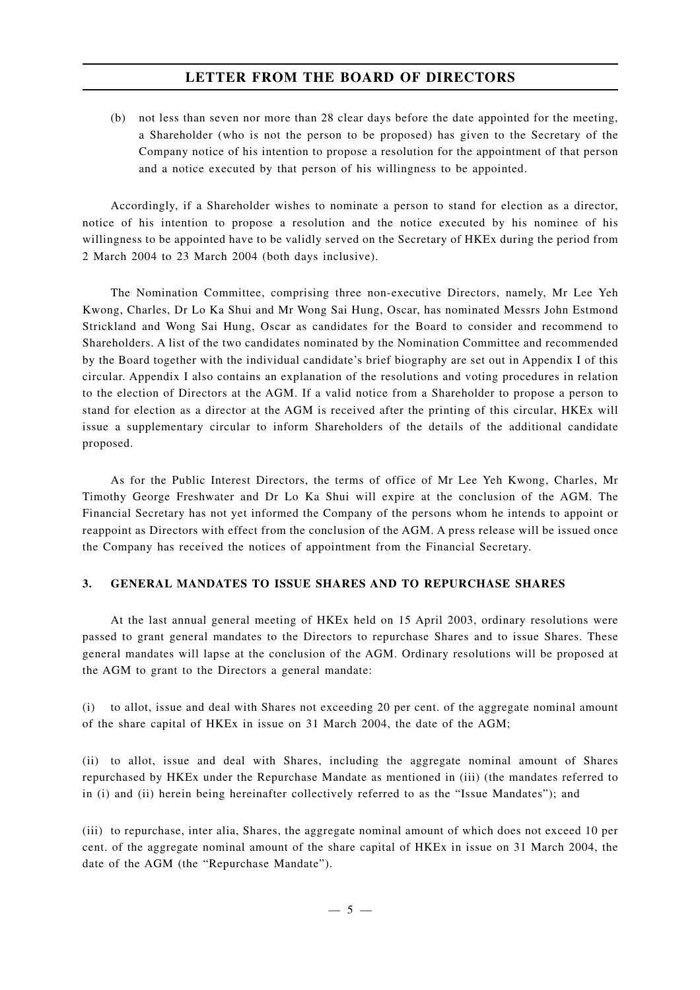(b) not less than seven nor more than 28 clear days before the date appointed for the meeting, a Shareholder (who is not the person to be proposed) has given to the Secretary of the Company notice of his intention to propose a resolution for the appointment of that person and a notice executed by that person of his willingness to be appointed.

Accordingly, if a Shareholder wishes to nominate a person to stand for election as a director, notice of his intention to propose a resolution and the notice executed by his nominee of his willingness to be appointed have to be validly served on the Secretary of HKEx during the period from 2 March 2004 to 23 March 2004 (both days inclusive).

The Nomination Committee, comprising three non-executive Directors, namely, Mr Lee Yeh Kwong, Charles, Dr Lo Ka Shui and Mr Wong Sai Hung, Oscar, has nominated Messrs John Estmond Strickland and Wong Sai Hung, Oscar as candidates for the Board to consider and recommend to Shareholders. A list of the two candidates nominated by the Nomination Committee and recommended by the Board together with the individual candidate's brief biography are set out in Appendix I of this circular. Appendix I also contains an explanation of the resolutions and voting procedures in relation to the election of Directors at the AGM. If a valid notice from a Shareholder to propose a person to stand for election as a director at the AGM is received after the printing of this circular, HKEx will issue a supplementary circular to inform Shareholders of the details of the additional candidate proposed.

As for the Public Interest Directors, the terms of office of Mr Lee Yeh Kwong, Charles, Mr Timothy George Freshwater and Dr Lo Ka Shui will expire at the conclusion of the AGM. The Financial Secretary has not yet informed the Company of the persons whom he intends to appoint or reappoint as Directors with effect from the conclusion of the AGM. A press release will be issued once the Company has received the notices of appointment from the Financial Secretary.

### **3. GENERAL MANDATES TO ISSUE SHARES AND TO REPURCHASE SHARES**

At the last annual general meeting of HKEx held on 15 April 2003, ordinary resolutions were passed to grant general mandates to the Directors to repurchase Shares and to issue Shares. These general mandates will lapse at the conclusion of the AGM. Ordinary resolutions will be proposed at the AGM to grant to the Directors a general mandate:

(i) to allot, issue and deal with Shares not exceeding 20 per cent. of the aggregate nominal amount of the share capital of HKEx in issue on 31 March 2004, the date of the AGM;

(ii) to allot, issue and deal with Shares, including the aggregate nominal amount of Shares repurchased by HKEx under the Repurchase Mandate as mentioned in (iii) (the mandates referred to in (i) and (ii) herein being hereinafter collectively referred to as the "Issue Mandates"); and

(iii) to repurchase, inter alia, Shares, the aggregate nominal amount of which does not exceed 10 per cent. of the aggregate nominal amount of the share capital of HKEx in issue on 31 March 2004, the date of the AGM (the "Repurchase Mandate").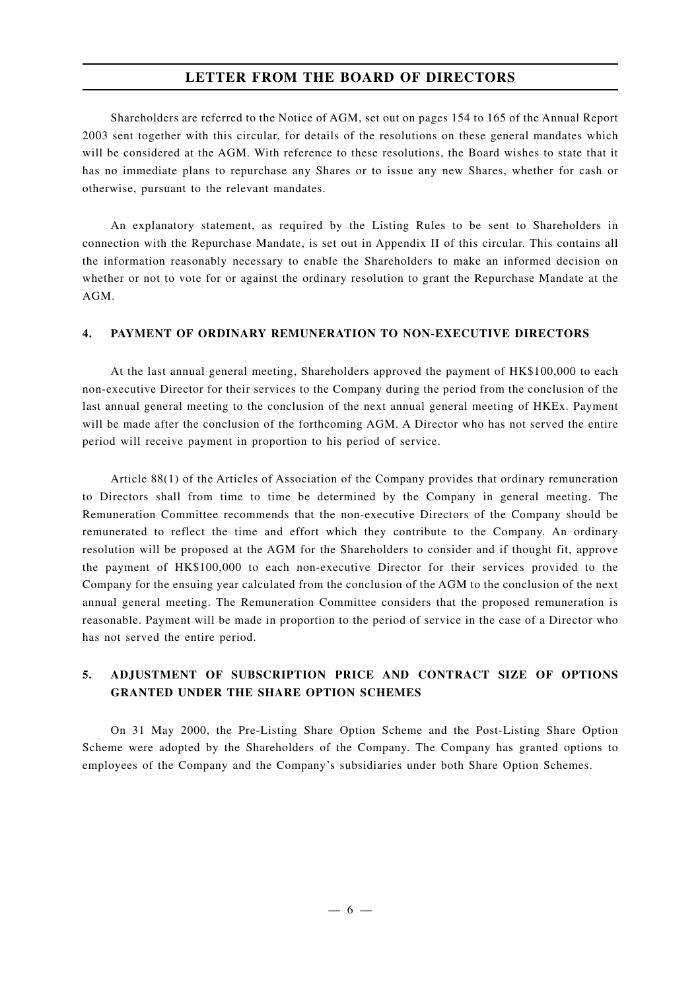Shareholders are referred to the Notice of AGM, set out on pages 154 to 165 of the Annual Report 2003 sent together with this circular, for details of the resolutions on these general mandates which will be considered at the AGM. With reference to these resolutions, the Board wishes to state that it has no immediate plans to repurchase any Shares or to issue any new Shares, whether for cash or otherwise, pursuant to the relevant mandates.

An explanatory statement, as required by the Listing Rules to be sent to Shareholders in connection with the Repurchase Mandate, is set out in Appendix II of this circular. This contains all the information reasonably necessary to enable the Shareholders to make an informed decision on whether or not to vote for or against the ordinary resolution to grant the Repurchase Mandate at the AGM.

### **4. PAYMENT OF ORDINARY REMUNERATION TO NON-EXECUTIVE DIRECTORS**

At the last annual general meeting, Shareholders approved the payment of HK\$100,000 to each non-executive Director for their services to the Company during the period from the conclusion of the last annual general meeting to the conclusion of the next annual general meeting of HKEx. Payment will be made after the conclusion of the forthcoming AGM. A Director who has not served the entire period will receive payment in proportion to his period of service.

Article 88(1) of the Articles of Association of the Company provides that ordinary remuneration to Directors shall from time to time be determined by the Company in general meeting. The Remuneration Committee recommends that the non-executive Directors of the Company should be remunerated to reflect the time and effort which they contribute to the Company. An ordinary resolution will be proposed at the AGM for the Shareholders to consider and if thought fit, approve the payment of HK\$100,000 to each non-executive Director for their services provided to the Company for the ensuing year calculated from the conclusion of the AGM to the conclusion of the next annual general meeting. The Remuneration Committee considers that the proposed remuneration is reasonable. Payment will be made in proportion to the period of service in the case of a Director who has not served the entire period.

# **5. ADJUSTMENT OF SUBSCRIPTION PRICE AND CONTRACT SIZE OF OPTIONS GRANTED UNDER THE SHARE OPTION SCHEMES**

On 31 May 2000, the Pre-Listing Share Option Scheme and the Post-Listing Share Option Scheme were adopted by the Shareholders of the Company. The Company has granted options to employees of the Company and the Company's subsidiaries under both Share Option Schemes.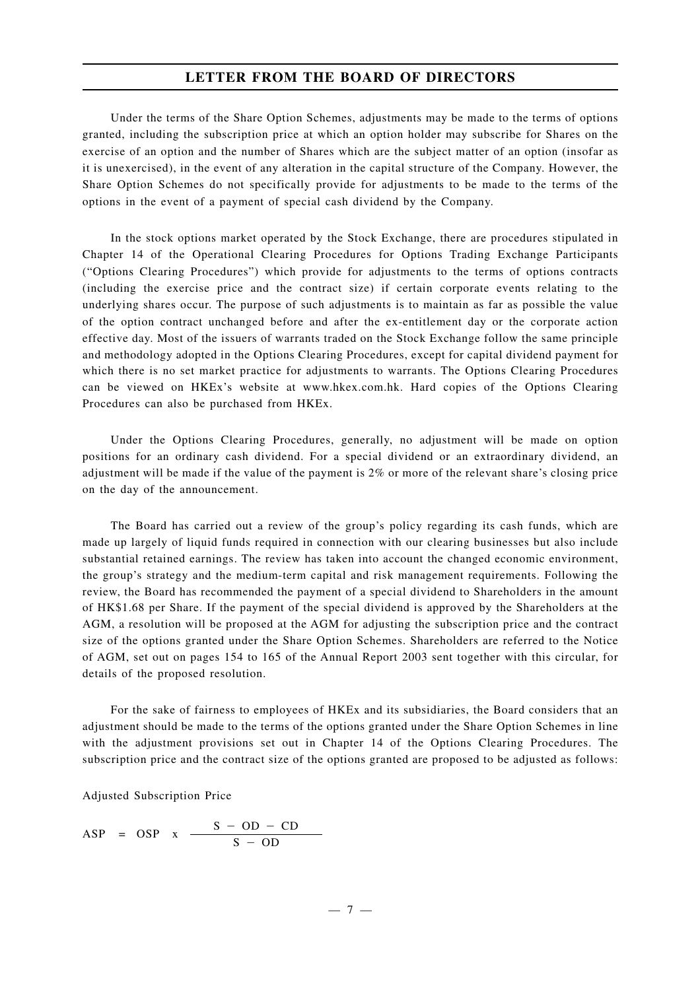Under the terms of the Share Option Schemes, adjustments may be made to the terms of options granted, including the subscription price at which an option holder may subscribe for Shares on the exercise of an option and the number of Shares which are the subject matter of an option (insofar as it is unexercised), in the event of any alteration in the capital structure of the Company. However, the Share Option Schemes do not specifically provide for adjustments to be made to the terms of the options in the event of a payment of special cash dividend by the Company.

In the stock options market operated by the Stock Exchange, there are procedures stipulated in Chapter 14 of the Operational Clearing Procedures for Options Trading Exchange Participants ("Options Clearing Procedures") which provide for adjustments to the terms of options contracts (including the exercise price and the contract size) if certain corporate events relating to the underlying shares occur. The purpose of such adjustments is to maintain as far as possible the value of the option contract unchanged before and after the ex-entitlement day or the corporate action effective day. Most of the issuers of warrants traded on the Stock Exchange follow the same principle and methodology adopted in the Options Clearing Procedures, except for capital dividend payment for which there is no set market practice for adjustments to warrants. The Options Clearing Procedures can be viewed on HKEx's website at www.hkex.com.hk. Hard copies of the Options Clearing Procedures can also be purchased from HKEx.

Under the Options Clearing Procedures, generally, no adjustment will be made on option positions for an ordinary cash dividend. For a special dividend or an extraordinary dividend, an adjustment will be made if the value of the payment is 2% or more of the relevant share's closing price on the day of the announcement.

The Board has carried out a review of the group's policy regarding its cash funds, which are made up largely of liquid funds required in connection with our clearing businesses but also include substantial retained earnings. The review has taken into account the changed economic environment, the group's strategy and the medium-term capital and risk management requirements. Following the review, the Board has recommended the payment of a special dividend to Shareholders in the amount of HK\$1.68 per Share. If the payment of the special dividend is approved by the Shareholders at the AGM, a resolution will be proposed at the AGM for adjusting the subscription price and the contract size of the options granted under the Share Option Schemes. Shareholders are referred to the Notice of AGM, set out on pages 154 to 165 of the Annual Report 2003 sent together with this circular, for details of the proposed resolution.

For the sake of fairness to employees of HKEx and its subsidiaries, the Board considers that an adjustment should be made to the terms of the options granted under the Share Option Schemes in line with the adjustment provisions set out in Chapter 14 of the Options Clearing Procedures. The subscription price and the contract size of the options granted are proposed to be adjusted as follows:

Adjusted Subscription Price

$$
ASP = OSP x \xrightarrow{S - OD - CD} S - OD
$$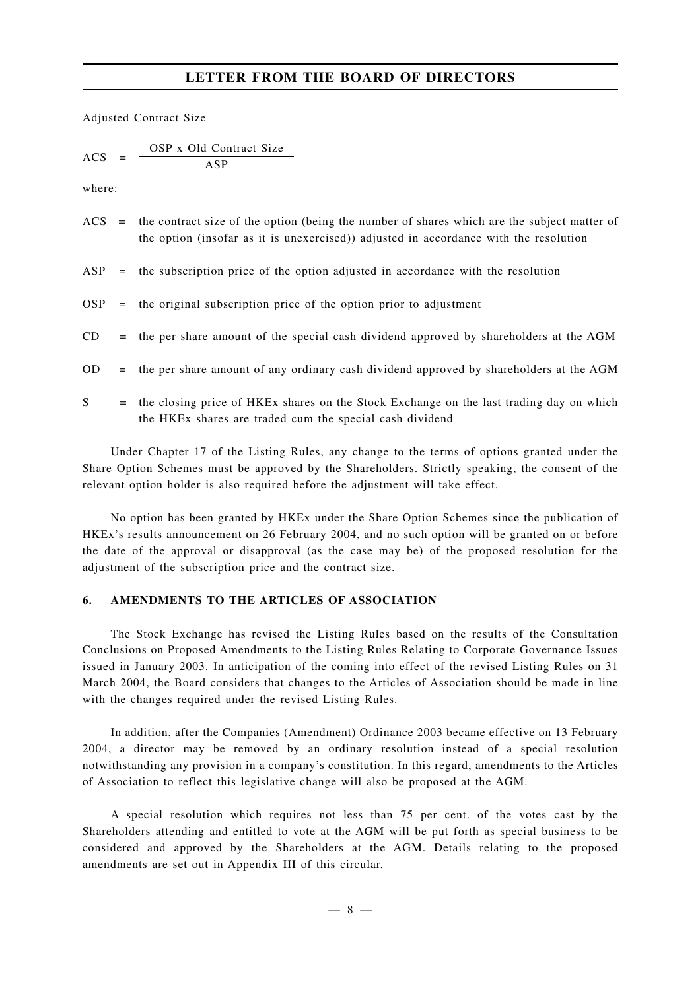Adjusted Contract Size

$$
ACS = \frac{OSP \times Old Contract Size}{ASP}
$$

where:

|     | $\angle$ ACS = the contract size of the option (being the number of shares which are the subject matter of<br>the option (insofar as it is unexercised)) adjusted in accordance with the resolution |
|-----|-----------------------------------------------------------------------------------------------------------------------------------------------------------------------------------------------------|
| ASP | = the subscription price of the option adjusted in accordance with the resolution                                                                                                                   |

- $OSP =$  the original subscription price of the option prior to adjustment
- $CD =$  the per share amount of the special cash dividend approved by shareholders at the AGM
- OD = the per share amount of any ordinary cash dividend approved by shareholders at the AGM
- S = the closing price of HKEx shares on the Stock Exchange on the last trading day on which the HKEx shares are traded cum the special cash dividend

Under Chapter 17 of the Listing Rules, any change to the terms of options granted under the Share Option Schemes must be approved by the Shareholders. Strictly speaking, the consent of the relevant option holder is also required before the adjustment will take effect.

No option has been granted by HKEx under the Share Option Schemes since the publication of HKEx's results announcement on 26 February 2004, and no such option will be granted on or before the date of the approval or disapproval (as the case may be) of the proposed resolution for the adjustment of the subscription price and the contract size.

### **6. AMENDMENTS TO THE ARTICLES OF ASSOCIATION**

The Stock Exchange has revised the Listing Rules based on the results of the Consultation Conclusions on Proposed Amendments to the Listing Rules Relating to Corporate Governance Issues issued in January 2003. In anticipation of the coming into effect of the revised Listing Rules on 31 March 2004, the Board considers that changes to the Articles of Association should be made in line with the changes required under the revised Listing Rules.

In addition, after the Companies (Amendment) Ordinance 2003 became effective on 13 February 2004, a director may be removed by an ordinary resolution instead of a special resolution notwithstanding any provision in a company's constitution. In this regard, amendments to the Articles of Association to reflect this legislative change will also be proposed at the AGM.

A special resolution which requires not less than 75 per cent. of the votes cast by the Shareholders attending and entitled to vote at the AGM will be put forth as special business to be considered and approved by the Shareholders at the AGM. Details relating to the proposed amendments are set out in Appendix III of this circular.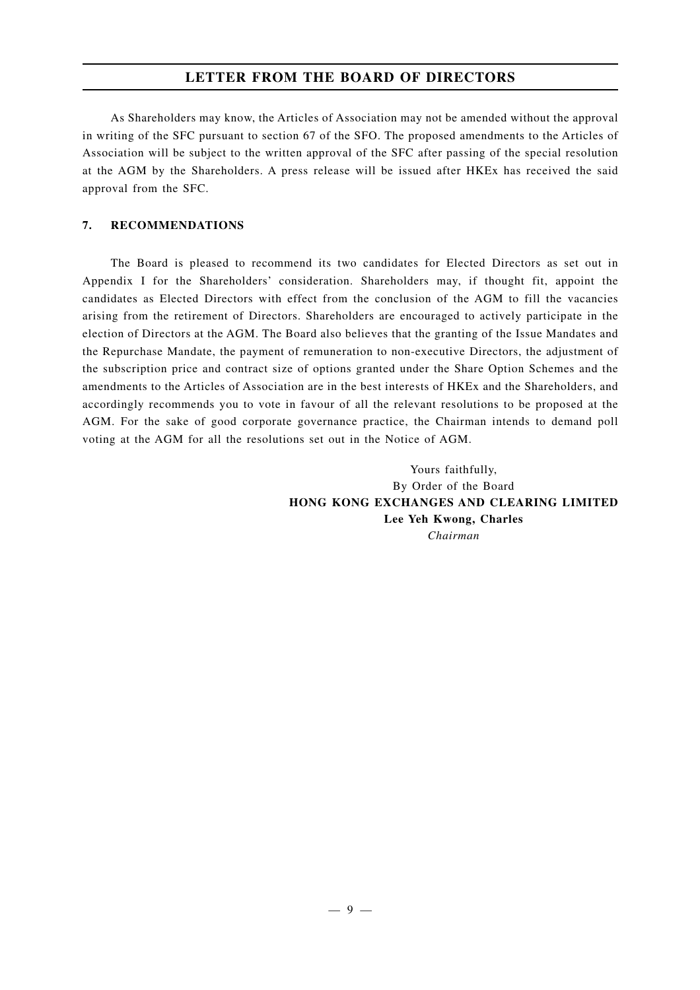As Shareholders may know, the Articles of Association may not be amended without the approval in writing of the SFC pursuant to section 67 of the SFO. The proposed amendments to the Articles of Association will be subject to the written approval of the SFC after passing of the special resolution at the AGM by the Shareholders. A press release will be issued after HKEx has received the said approval from the SFC.

### **7. RECOMMENDATIONS**

The Board is pleased to recommend its two candidates for Elected Directors as set out in Appendix I for the Shareholders' consideration. Shareholders may, if thought fit, appoint the candidates as Elected Directors with effect from the conclusion of the AGM to fill the vacancies arising from the retirement of Directors. Shareholders are encouraged to actively participate in the election of Directors at the AGM. The Board also believes that the granting of the Issue Mandates and the Repurchase Mandate, the payment of remuneration to non-executive Directors, the adjustment of the subscription price and contract size of options granted under the Share Option Schemes and the amendments to the Articles of Association are in the best interests of HKEx and the Shareholders, and accordingly recommends you to vote in favour of all the relevant resolutions to be proposed at the AGM. For the sake of good corporate governance practice, the Chairman intends to demand poll voting at the AGM for all the resolutions set out in the Notice of AGM.

> Yours faithfully, By Order of the Board **HONG KONG EXCHANGES AND CLEARING LIMITED Lee Yeh Kwong, Charles** *Chairman*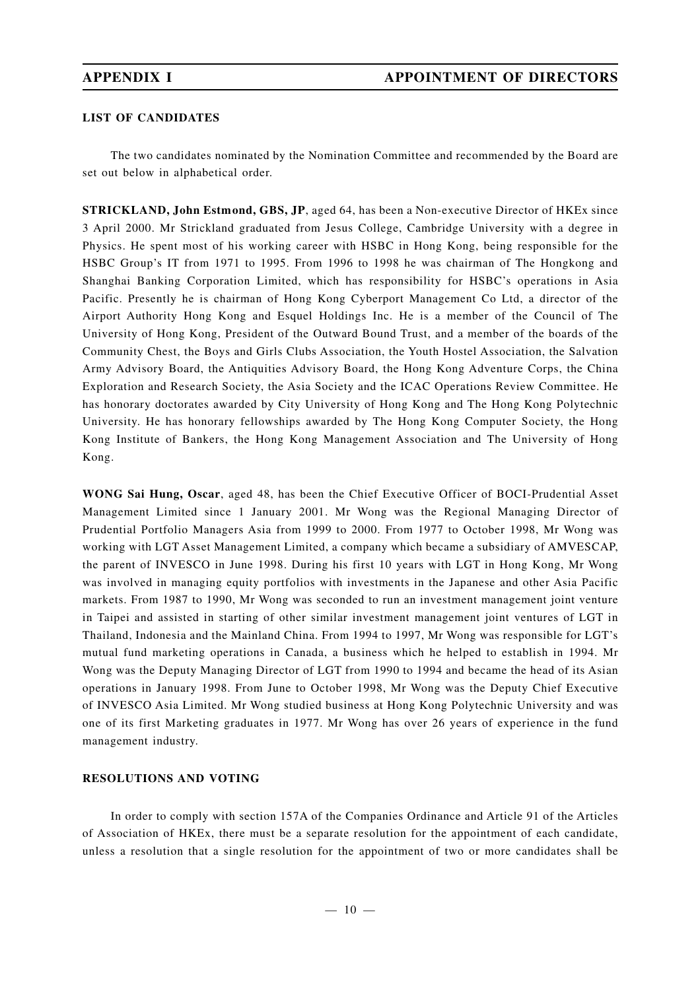### **LIST OF CANDIDATES**

The two candidates nominated by the Nomination Committee and recommended by the Board are set out below in alphabetical order.

**STRICKLAND, John Estmond, GBS, JP**, aged 64, has been a Non-executive Director of HKEx since 3 April 2000. Mr Strickland graduated from Jesus College, Cambridge University with a degree in Physics. He spent most of his working career with HSBC in Hong Kong, being responsible for the HSBC Group's IT from 1971 to 1995. From 1996 to 1998 he was chairman of The Hongkong and Shanghai Banking Corporation Limited, which has responsibility for HSBC's operations in Asia Pacific. Presently he is chairman of Hong Kong Cyberport Management Co Ltd, a director of the Airport Authority Hong Kong and Esquel Holdings Inc. He is a member of the Council of The University of Hong Kong, President of the Outward Bound Trust, and a member of the boards of the Community Chest, the Boys and Girls Clubs Association, the Youth Hostel Association, the Salvation Army Advisory Board, the Antiquities Advisory Board, the Hong Kong Adventure Corps, the China Exploration and Research Society, the Asia Society and the ICAC Operations Review Committee. He has honorary doctorates awarded by City University of Hong Kong and The Hong Kong Polytechnic University. He has honorary fellowships awarded by The Hong Kong Computer Society, the Hong Kong Institute of Bankers, the Hong Kong Management Association and The University of Hong Kong.

**WONG Sai Hung, Oscar**, aged 48, has been the Chief Executive Officer of BOCI-Prudential Asset Management Limited since 1 January 2001. Mr Wong was the Regional Managing Director of Prudential Portfolio Managers Asia from 1999 to 2000. From 1977 to October 1998, Mr Wong was working with LGT Asset Management Limited, a company which became a subsidiary of AMVESCAP, the parent of INVESCO in June 1998. During his first 10 years with LGT in Hong Kong, Mr Wong was involved in managing equity portfolios with investments in the Japanese and other Asia Pacific markets. From 1987 to 1990, Mr Wong was seconded to run an investment management joint venture in Taipei and assisted in starting of other similar investment management joint ventures of LGT in Thailand, Indonesia and the Mainland China. From 1994 to 1997, Mr Wong was responsible for LGT's mutual fund marketing operations in Canada, a business which he helped to establish in 1994. Mr Wong was the Deputy Managing Director of LGT from 1990 to 1994 and became the head of its Asian operations in January 1998. From June to October 1998, Mr Wong was the Deputy Chief Executive of INVESCO Asia Limited. Mr Wong studied business at Hong Kong Polytechnic University and was one of its first Marketing graduates in 1977. Mr Wong has over 26 years of experience in the fund management industry.

### **RESOLUTIONS AND VOTING**

In order to comply with section 157A of the Companies Ordinance and Article 91 of the Articles of Association of HKEx, there must be a separate resolution for the appointment of each candidate, unless a resolution that a single resolution for the appointment of two or more candidates shall be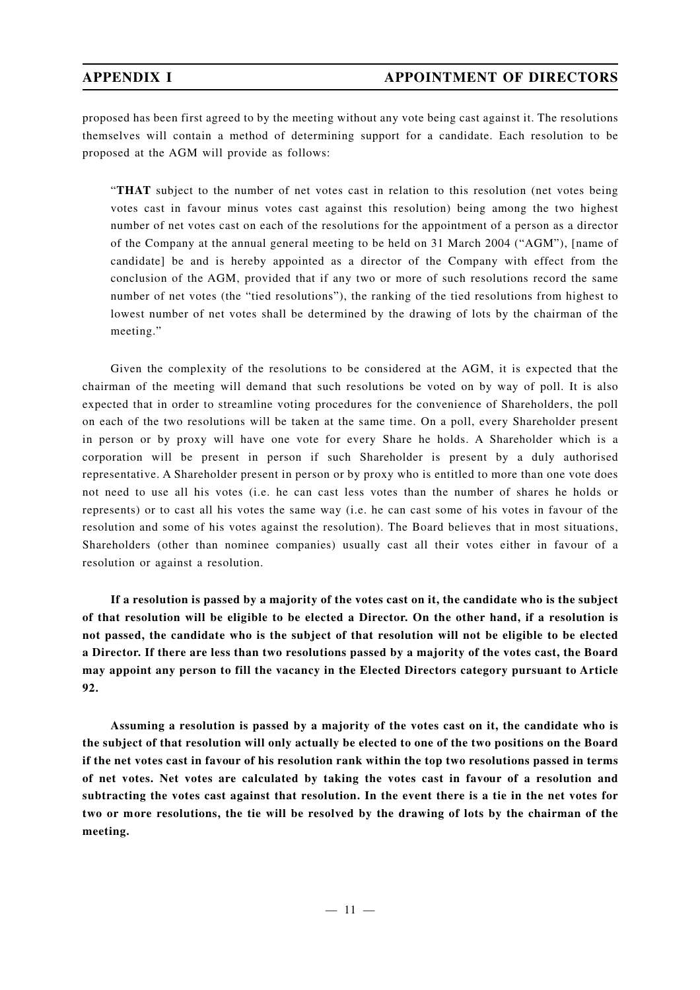proposed has been first agreed to by the meeting without any vote being cast against it. The resolutions themselves will contain a method of determining support for a candidate. Each resolution to be proposed at the AGM will provide as follows:

"**THAT** subject to the number of net votes cast in relation to this resolution (net votes being votes cast in favour minus votes cast against this resolution) being among the two highest number of net votes cast on each of the resolutions for the appointment of a person as a director of the Company at the annual general meeting to be held on 31 March 2004 ("AGM"), [name of candidate] be and is hereby appointed as a director of the Company with effect from the conclusion of the AGM, provided that if any two or more of such resolutions record the same number of net votes (the "tied resolutions"), the ranking of the tied resolutions from highest to lowest number of net votes shall be determined by the drawing of lots by the chairman of the meeting."

Given the complexity of the resolutions to be considered at the AGM, it is expected that the chairman of the meeting will demand that such resolutions be voted on by way of poll. It is also expected that in order to streamline voting procedures for the convenience of Shareholders, the poll on each of the two resolutions will be taken at the same time. On a poll, every Shareholder present in person or by proxy will have one vote for every Share he holds. A Shareholder which is a corporation will be present in person if such Shareholder is present by a duly authorised representative. A Shareholder present in person or by proxy who is entitled to more than one vote does not need to use all his votes (i.e. he can cast less votes than the number of shares he holds or represents) or to cast all his votes the same way (i.e. he can cast some of his votes in favour of the resolution and some of his votes against the resolution). The Board believes that in most situations, Shareholders (other than nominee companies) usually cast all their votes either in favour of a resolution or against a resolution.

**If a resolution is passed by a majority of the votes cast on it, the candidate who is the subject of that resolution will be eligible to be elected a Director. On the other hand, if a resolution is not passed, the candidate who is the subject of that resolution will not be eligible to be elected a Director. If there are less than two resolutions passed by a majority of the votes cast, the Board may appoint any person to fill the vacancy in the Elected Directors category pursuant to Article 92.**

**Assuming a resolution is passed by a majority of the votes cast on it, the candidate who is the subject of that resolution will only actually be elected to one of the two positions on the Board if the net votes cast in favour of his resolution rank within the top two resolutions passed in terms of net votes. Net votes are calculated by taking the votes cast in favour of a resolution and subtracting the votes cast against that resolution. In the event there is a tie in the net votes for two or more resolutions, the tie will be resolved by the drawing of lots by the chairman of the meeting.**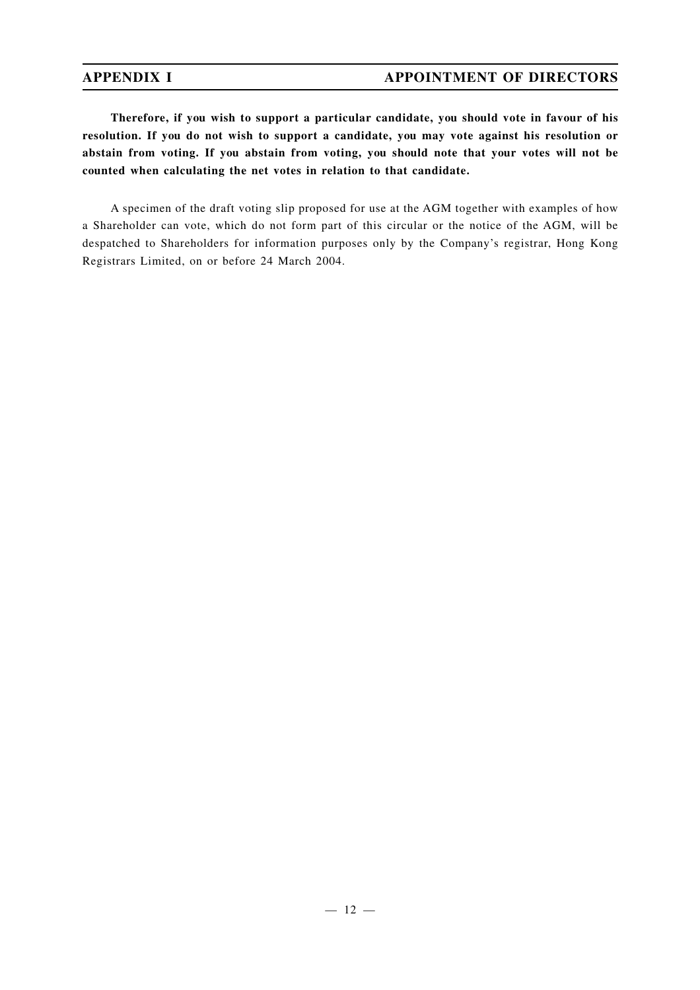**Therefore, if you wish to support a particular candidate, you should vote in favour of his resolution. If you do not wish to support a candidate, you may vote against his resolution or abstain from voting. If you abstain from voting, you should note that your votes will not be counted when calculating the net votes in relation to that candidate.**

A specimen of the draft voting slip proposed for use at the AGM together with examples of how a Shareholder can vote, which do not form part of this circular or the notice of the AGM, will be despatched to Shareholders for information purposes only by the Company's registrar, Hong Kong Registrars Limited, on or before 24 March 2004.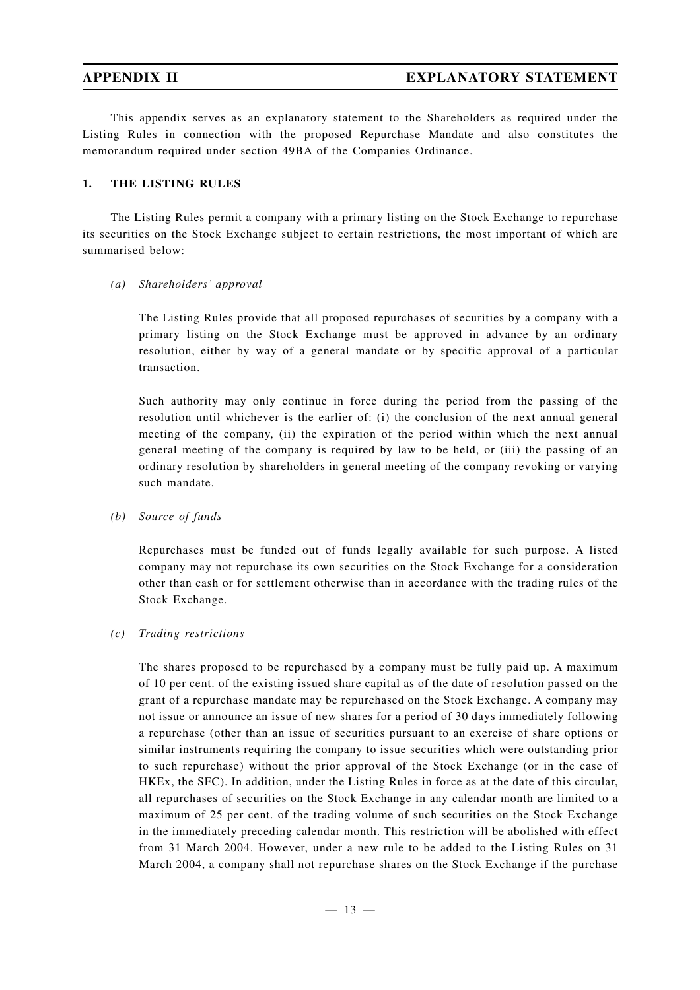This appendix serves as an explanatory statement to the Shareholders as required under the Listing Rules in connection with the proposed Repurchase Mandate and also constitutes the memorandum required under section 49BA of the Companies Ordinance.

### **1. THE LISTING RULES**

The Listing Rules permit a company with a primary listing on the Stock Exchange to repurchase its securities on the Stock Exchange subject to certain restrictions, the most important of which are summarised below:

### *(a) Shareholders' approval*

The Listing Rules provide that all proposed repurchases of securities by a company with a primary listing on the Stock Exchange must be approved in advance by an ordinary resolution, either by way of a general mandate or by specific approval of a particular transaction.

Such authority may only continue in force during the period from the passing of the resolution until whichever is the earlier of: (i) the conclusion of the next annual general meeting of the company, (ii) the expiration of the period within which the next annual general meeting of the company is required by law to be held, or (iii) the passing of an ordinary resolution by shareholders in general meeting of the company revoking or varying such mandate.

*(b) Source of funds*

Repurchases must be funded out of funds legally available for such purpose. A listed company may not repurchase its own securities on the Stock Exchange for a consideration other than cash or for settlement otherwise than in accordance with the trading rules of the Stock Exchange.

### *(c) Trading restrictions*

The shares proposed to be repurchased by a company must be fully paid up. A maximum of 10 per cent. of the existing issued share capital as of the date of resolution passed on the grant of a repurchase mandate may be repurchased on the Stock Exchange. A company may not issue or announce an issue of new shares for a period of 30 days immediately following a repurchase (other than an issue of securities pursuant to an exercise of share options or similar instruments requiring the company to issue securities which were outstanding prior to such repurchase) without the prior approval of the Stock Exchange (or in the case of HKEx, the SFC). In addition, under the Listing Rules in force as at the date of this circular, all repurchases of securities on the Stock Exchange in any calendar month are limited to a maximum of 25 per cent. of the trading volume of such securities on the Stock Exchange in the immediately preceding calendar month. This restriction will be abolished with effect from 31 March 2004. However, under a new rule to be added to the Listing Rules on 31 March 2004, a company shall not repurchase shares on the Stock Exchange if the purchase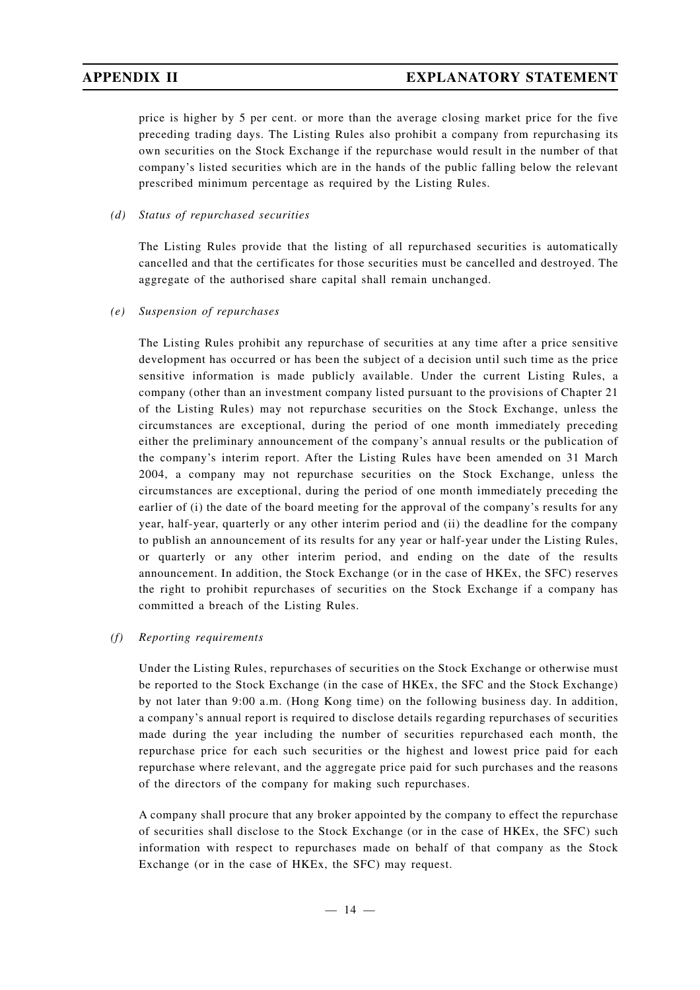price is higher by 5 per cent. or more than the average closing market price for the five preceding trading days. The Listing Rules also prohibit a company from repurchasing its own securities on the Stock Exchange if the repurchase would result in the number of that company's listed securities which are in the hands of the public falling below the relevant prescribed minimum percentage as required by the Listing Rules.

### *(d) Status of repurchased securities*

The Listing Rules provide that the listing of all repurchased securities is automatically cancelled and that the certificates for those securities must be cancelled and destroyed. The aggregate of the authorised share capital shall remain unchanged.

*(e) Suspension of repurchases*

The Listing Rules prohibit any repurchase of securities at any time after a price sensitive development has occurred or has been the subject of a decision until such time as the price sensitive information is made publicly available. Under the current Listing Rules, a company (other than an investment company listed pursuant to the provisions of Chapter 21 of the Listing Rules) may not repurchase securities on the Stock Exchange, unless the circumstances are exceptional, during the period of one month immediately preceding either the preliminary announcement of the company's annual results or the publication of the company's interim report. After the Listing Rules have been amended on 31 March 2004, a company may not repurchase securities on the Stock Exchange, unless the circumstances are exceptional, during the period of one month immediately preceding the earlier of (i) the date of the board meeting for the approval of the company's results for any year, half-year, quarterly or any other interim period and (ii) the deadline for the company to publish an announcement of its results for any year or half-year under the Listing Rules, or quarterly or any other interim period, and ending on the date of the results announcement. In addition, the Stock Exchange (or in the case of HKEx, the SFC) reserves the right to prohibit repurchases of securities on the Stock Exchange if a company has committed a breach of the Listing Rules.

### *(f) Reporting requirements*

Under the Listing Rules, repurchases of securities on the Stock Exchange or otherwise must be reported to the Stock Exchange (in the case of HKEx, the SFC and the Stock Exchange) by not later than 9:00 a.m. (Hong Kong time) on the following business day. In addition, a company's annual report is required to disclose details regarding repurchases of securities made during the year including the number of securities repurchased each month, the repurchase price for each such securities or the highest and lowest price paid for each repurchase where relevant, and the aggregate price paid for such purchases and the reasons of the directors of the company for making such repurchases.

A company shall procure that any broker appointed by the company to effect the repurchase of securities shall disclose to the Stock Exchange (or in the case of HKEx, the SFC) such information with respect to repurchases made on behalf of that company as the Stock Exchange (or in the case of HKEx, the SFC) may request.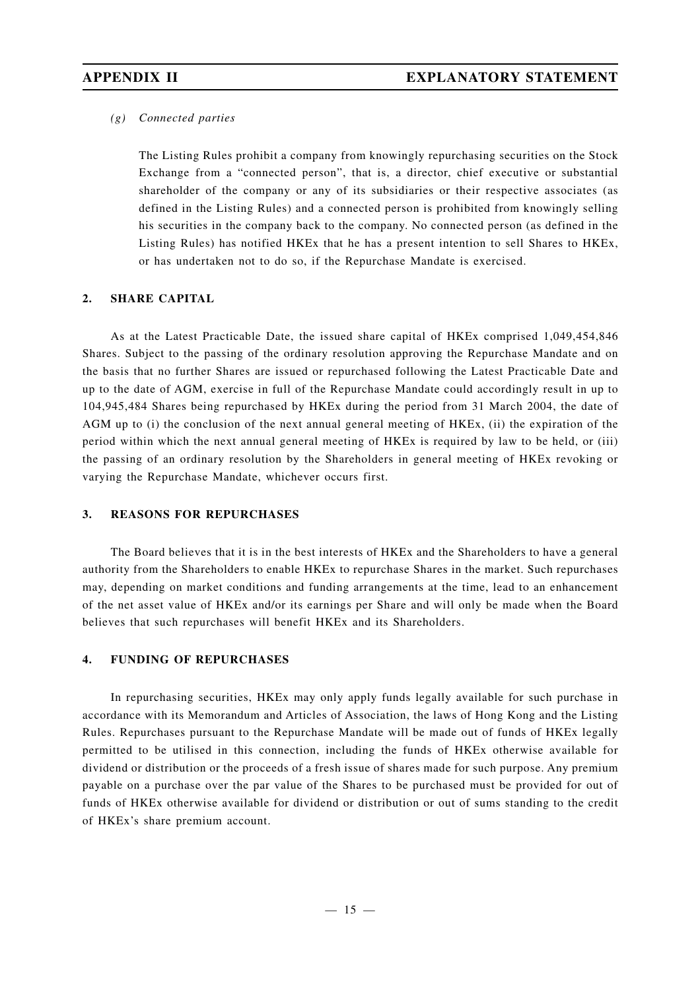### *(g) Connected parties*

The Listing Rules prohibit a company from knowingly repurchasing securities on the Stock Exchange from a "connected person", that is, a director, chief executive or substantial shareholder of the company or any of its subsidiaries or their respective associates (as defined in the Listing Rules) and a connected person is prohibited from knowingly selling his securities in the company back to the company. No connected person (as defined in the Listing Rules) has notified HKEx that he has a present intention to sell Shares to HKEx, or has undertaken not to do so, if the Repurchase Mandate is exercised.

### **2. SHARE CAPITAL**

As at the Latest Practicable Date, the issued share capital of HKEx comprised 1,049,454,846 Shares. Subject to the passing of the ordinary resolution approving the Repurchase Mandate and on the basis that no further Shares are issued or repurchased following the Latest Practicable Date and up to the date of AGM, exercise in full of the Repurchase Mandate could accordingly result in up to 104,945,484 Shares being repurchased by HKEx during the period from 31 March 2004, the date of AGM up to (i) the conclusion of the next annual general meeting of HKEx, (ii) the expiration of the period within which the next annual general meeting of HKEx is required by law to be held, or (iii) the passing of an ordinary resolution by the Shareholders in general meeting of HKEx revoking or varying the Repurchase Mandate, whichever occurs first.

### **3. REASONS FOR REPURCHASES**

The Board believes that it is in the best interests of HKEx and the Shareholders to have a general authority from the Shareholders to enable HKEx to repurchase Shares in the market. Such repurchases may, depending on market conditions and funding arrangements at the time, lead to an enhancement of the net asset value of HKEx and/or its earnings per Share and will only be made when the Board believes that such repurchases will benefit HKEx and its Shareholders.

### **4. FUNDING OF REPURCHASES**

In repurchasing securities, HKEx may only apply funds legally available for such purchase in accordance with its Memorandum and Articles of Association, the laws of Hong Kong and the Listing Rules. Repurchases pursuant to the Repurchase Mandate will be made out of funds of HKEx legally permitted to be utilised in this connection, including the funds of HKEx otherwise available for dividend or distribution or the proceeds of a fresh issue of shares made for such purpose. Any premium payable on a purchase over the par value of the Shares to be purchased must be provided for out of funds of HKEx otherwise available for dividend or distribution or out of sums standing to the credit of HKEx's share premium account.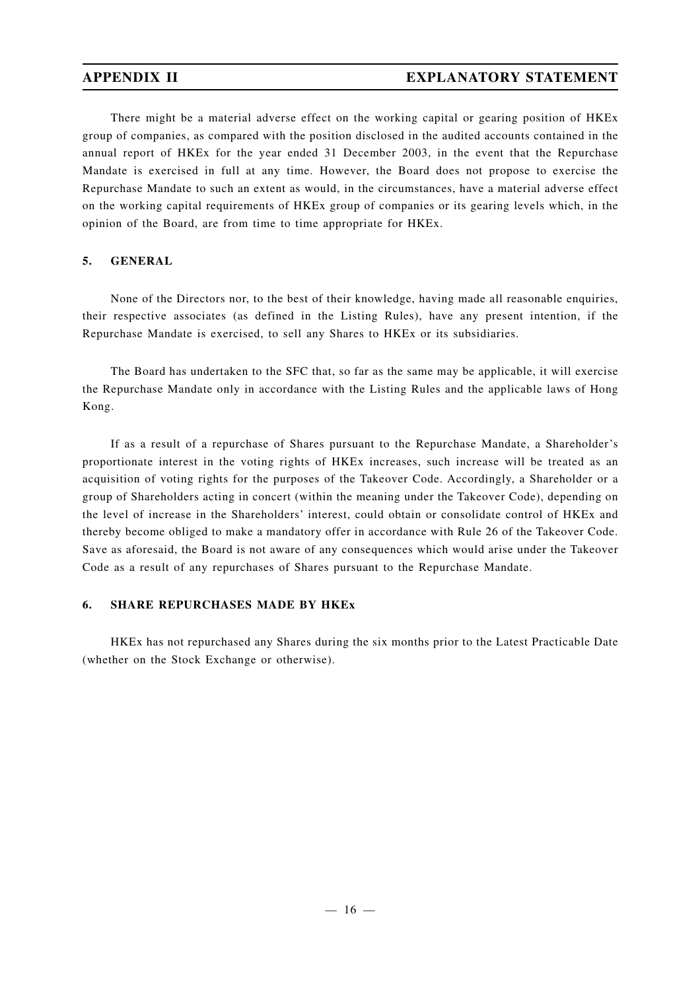There might be a material adverse effect on the working capital or gearing position of HKEx group of companies, as compared with the position disclosed in the audited accounts contained in the annual report of HKEx for the year ended 31 December 2003, in the event that the Repurchase Mandate is exercised in full at any time. However, the Board does not propose to exercise the Repurchase Mandate to such an extent as would, in the circumstances, have a material adverse effect on the working capital requirements of HKEx group of companies or its gearing levels which, in the opinion of the Board, are from time to time appropriate for HKEx.

### **5. GENERAL**

None of the Directors nor, to the best of their knowledge, having made all reasonable enquiries, their respective associates (as defined in the Listing Rules), have any present intention, if the Repurchase Mandate is exercised, to sell any Shares to HKEx or its subsidiaries.

The Board has undertaken to the SFC that, so far as the same may be applicable, it will exercise the Repurchase Mandate only in accordance with the Listing Rules and the applicable laws of Hong Kong.

If as a result of a repurchase of Shares pursuant to the Repurchase Mandate, a Shareholder's proportionate interest in the voting rights of HKEx increases, such increase will be treated as an acquisition of voting rights for the purposes of the Takeover Code. Accordingly, a Shareholder or a group of Shareholders acting in concert (within the meaning under the Takeover Code), depending on the level of increase in the Shareholders' interest, could obtain or consolidate control of HKEx and thereby become obliged to make a mandatory offer in accordance with Rule 26 of the Takeover Code. Save as aforesaid, the Board is not aware of any consequences which would arise under the Takeover Code as a result of any repurchases of Shares pursuant to the Repurchase Mandate.

### **6. SHARE REPURCHASES MADE BY HKEx**

HKEx has not repurchased any Shares during the six months prior to the Latest Practicable Date (whether on the Stock Exchange or otherwise).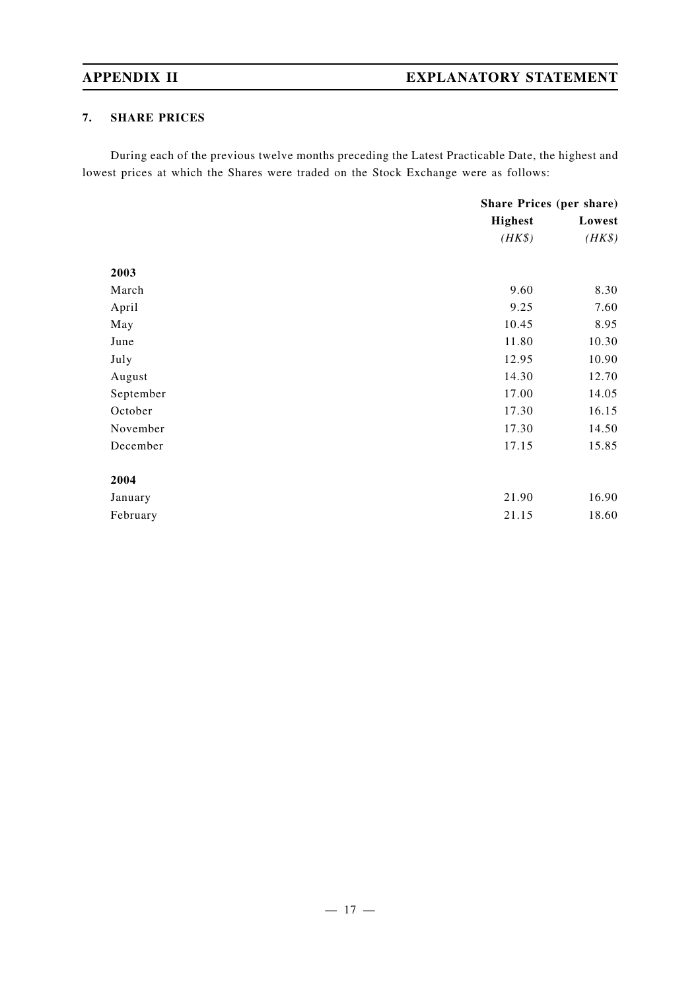# **APPENDIX II EXPLANATORY STATEMENT**

## **7. SHARE PRICES**

During each of the previous twelve months preceding the Latest Practicable Date, the highest and lowest prices at which the Shares were traded on the Stock Exchange were as follows:

|           | Share Prices (per share) |        |
|-----------|--------------------------|--------|
|           | <b>Highest</b>           | Lowest |
|           | $(HK\$                   | $(HK\$ |
| 2003      |                          |        |
| March     | 9.60                     | 8.30   |
| April     | 9.25                     | 7.60   |
| May       | 10.45                    | 8.95   |
| June      | 11.80                    | 10.30  |
| July      | 12.95                    | 10.90  |
| August    | 14.30                    | 12.70  |
| September | 17.00                    | 14.05  |
| October   | 17.30                    | 16.15  |
| November  | 17.30                    | 14.50  |
| December  | 17.15                    | 15.85  |
| 2004      |                          |        |
| January   | 21.90                    | 16.90  |
| February  | 21.15                    | 18.60  |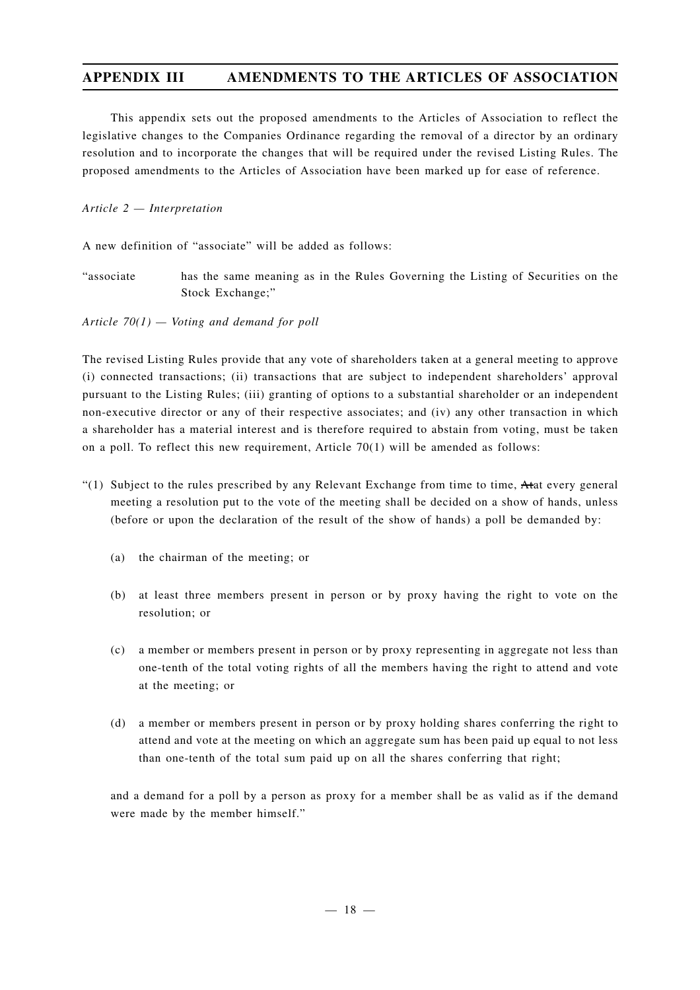This appendix sets out the proposed amendments to the Articles of Association to reflect the legislative changes to the Companies Ordinance regarding the removal of a director by an ordinary resolution and to incorporate the changes that will be required under the revised Listing Rules. The proposed amendments to the Articles of Association have been marked up for ease of reference.

### *Article 2 — Interpretation*

A new definition of "associate" will be added as follows:

"associate has the same meaning as in the Rules Governing the Listing of Securities on the Stock Exchange;"

*Article 70(1) — Voting and demand for poll*

The revised Listing Rules provide that any vote of shareholders taken at a general meeting to approve (i) connected transactions; (ii) transactions that are subject to independent shareholders' approval pursuant to the Listing Rules; (iii) granting of options to a substantial shareholder or an independent non-executive director or any of their respective associates; and (iv) any other transaction in which a shareholder has a material interest and is therefore required to abstain from voting, must be taken on a poll. To reflect this new requirement, Article 70(1) will be amended as follows:

- $(1)$  Subject to the rules prescribed by any Relevant Exchange from time to time, Atat every general meeting a resolution put to the vote of the meeting shall be decided on a show of hands, unless (before or upon the declaration of the result of the show of hands) a poll be demanded by:
	- (a) the chairman of the meeting; or
	- (b) at least three members present in person or by proxy having the right to vote on the resolution; or
	- (c) a member or members present in person or by proxy representing in aggregate not less than one-tenth of the total voting rights of all the members having the right to attend and vote at the meeting; or
	- (d) a member or members present in person or by proxy holding shares conferring the right to attend and vote at the meeting on which an aggregate sum has been paid up equal to not less than one-tenth of the total sum paid up on all the shares conferring that right;

and a demand for a poll by a person as proxy for a member shall be as valid as if the demand were made by the member himself."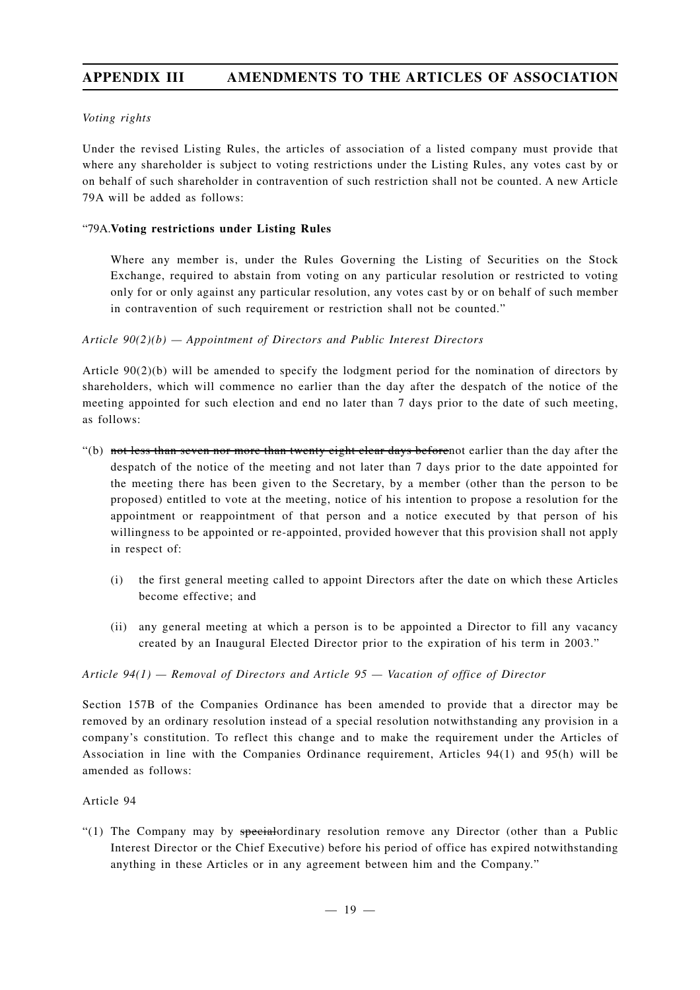### *Voting rights*

Under the revised Listing Rules, the articles of association of a listed company must provide that where any shareholder is subject to voting restrictions under the Listing Rules, any votes cast by or on behalf of such shareholder in contravention of such restriction shall not be counted. A new Article 79A will be added as follows:

### "79A.**Voting restrictions under Listing Rules**

Where any member is, under the Rules Governing the Listing of Securities on the Stock Exchange, required to abstain from voting on any particular resolution or restricted to voting only for or only against any particular resolution, any votes cast by or on behalf of such member in contravention of such requirement or restriction shall not be counted."

### *Article 90(2)(b) — Appointment of Directors and Public Interest Directors*

Article 90(2)(b) will be amended to specify the lodgment period for the nomination of directors by shareholders, which will commence no earlier than the day after the despatch of the notice of the meeting appointed for such election and end no later than 7 days prior to the date of such meeting, as follows:

- "(b) not less than seven nor more than twenty eight clear days beforenot earlier than the day after the despatch of the notice of the meeting and not later than 7 days prior to the date appointed for the meeting there has been given to the Secretary, by a member (other than the person to be proposed) entitled to vote at the meeting, notice of his intention to propose a resolution for the appointment or reappointment of that person and a notice executed by that person of his willingness to be appointed or re-appointed, provided however that this provision shall not apply in respect of:
	- (i) the first general meeting called to appoint Directors after the date on which these Articles become effective; and
	- (ii) any general meeting at which a person is to be appointed a Director to fill any vacancy created by an Inaugural Elected Director prior to the expiration of his term in 2003."

### *Article 94(1) — Removal of Directors and Article 95 — Vacation of office of Director*

Section 157B of the Companies Ordinance has been amended to provide that a director may be removed by an ordinary resolution instead of a special resolution notwithstanding any provision in a company's constitution. To reflect this change and to make the requirement under the Articles of Association in line with the Companies Ordinance requirement, Articles 94(1) and 95(h) will be amended as follows:

### Article 94

"(1) The Company may by  $\frac{1}{2}$  special ordinary resolution remove any Director (other than a Public Interest Director or the Chief Executive) before his period of office has expired notwithstanding anything in these Articles or in any agreement between him and the Company."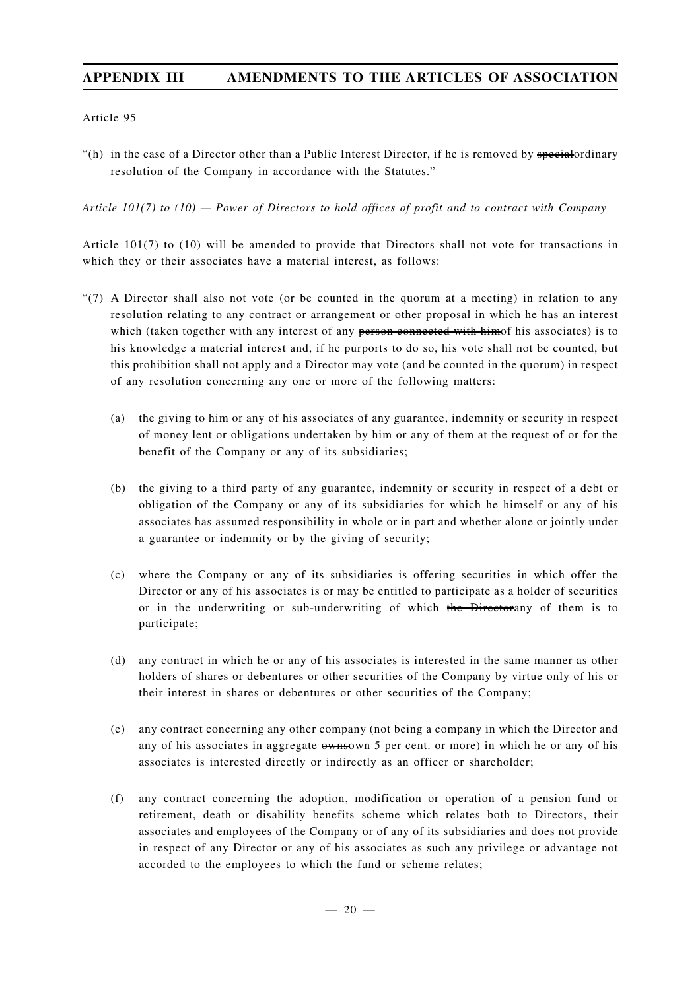Article 95

"(h) in the case of a Director other than a Public Interest Director, if he is removed by special ordinary resolution of the Company in accordance with the Statutes."

*Article 101(7) to (10) — Power of Directors to hold offices of profit and to contract with Company*

Article 101(7) to (10) will be amended to provide that Directors shall not vote for transactions in which they or their associates have a material interest, as follows:

- "(7) A Director shall also not vote (or be counted in the quorum at a meeting) in relation to any resolution relating to any contract or arrangement or other proposal in which he has an interest which (taken together with any interest of any person connected with himof his associates) is to his knowledge a material interest and, if he purports to do so, his vote shall not be counted, but this prohibition shall not apply and a Director may vote (and be counted in the quorum) in respect of any resolution concerning any one or more of the following matters:
	- (a) the giving to him or any of his associates of any guarantee, indemnity or security in respect of money lent or obligations undertaken by him or any of them at the request of or for the benefit of the Company or any of its subsidiaries;
	- (b) the giving to a third party of any guarantee, indemnity or security in respect of a debt or obligation of the Company or any of its subsidiaries for which he himself or any of his associates has assumed responsibility in whole or in part and whether alone or jointly under a guarantee or indemnity or by the giving of security;
	- (c) where the Company or any of its subsidiaries is offering securities in which offer the Director or any of his associates is or may be entitled to participate as a holder of securities or in the underwriting or sub-underwriting of which the Directorany of them is to participate;
	- (d) any contract in which he or any of his associates is interested in the same manner as other holders of shares or debentures or other securities of the Company by virtue only of his or their interest in shares or debentures or other securities of the Company;
	- (e) any contract concerning any other company (not being a company in which the Director and any of his associates in aggregate  $\omega$  is a per cent. or more) in which he or any of his associates is interested directly or indirectly as an officer or shareholder;
	- (f) any contract concerning the adoption, modification or operation of a pension fund or retirement, death or disability benefits scheme which relates both to Directors, their associates and employees of the Company or of any of its subsidiaries and does not provide in respect of any Director or any of his associates as such any privilege or advantage not accorded to the employees to which the fund or scheme relates;